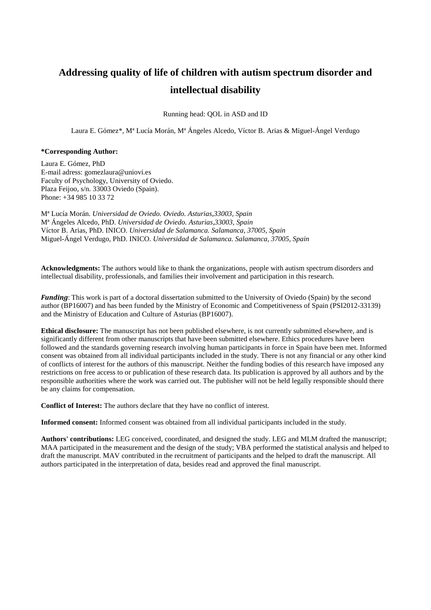# **Addressing quality of life of children with autism spectrum disorder and intellectual disability**

Running head: QOL in ASD and ID

Laura E. Gómez\*, Mª Lucía Morán, Mª Ángeles Alcedo, Víctor B. Arias & Miguel-Ángel Verdugo

#### **\*Corresponding Author:**

Laura E. Gómez, PhD E-mail adress: gomezlaura@uniovi.es Faculty of Psychology, University of Oviedo. Plaza Feijoo, s/n. 33003 Oviedo (Spain). Phone: +34 985 10 33 72

Mª Lucía Morán. *Universidad de Oviedo. Oviedo. Asturias,33003, Spain* Mª Ángeles Alcedo, PhD. *Universidad de Oviedo. Asturias,33003, Spain* Víctor B. Arias, PhD. INICO. *Universidad de Salamanca. Salamanca, 37005, Spain* Miguel-Ángel Verdugo, PhD. INICO. *Universidad de Salamanca. Salamanca, 37005, Spain*

**Acknowledgments:** The authors would like to thank the organizations, people with autism spectrum disorders and intellectual disability, professionals, and families their involvement and participation in this research.

*Funding*: This work is part of a doctoral dissertation submitted to the University of Oviedo (Spain) by the second author (BP16007) and has been funded by the Ministry of Economic and Competitiveness of Spain (PSI2012-33139) and the Ministry of Education and Culture of Asturias (BP16007).

**Ethical disclosure:** The manuscript has not been published elsewhere, is not currently submitted elsewhere, and is significantly different from other manuscripts that have been submitted elsewhere. Ethics procedures have been followed and the standards governing research involving human participants in force in Spain have been met. Informed consent was obtained from all individual participants included in the study. There is not any financial or any other kind of conflicts of interest for the authors of this manuscript. Neither the funding bodies of this research have imposed any restrictions on free access to or publication of these research data. Its publication is approved by all authors and by the responsible authorities where the work was carried out. The publisher will not be held legally responsible should there be any claims for compensation.

**Conflict of Interest:** The authors declare that they have no conflict of interest.

**Informed consent:** Informed consent was obtained from all individual participants included in the study.

**Authors' contributions:** LEG conceived, coordinated, and designed the study. LEG and MLM drafted the manuscript; MAA participated in the measurement and the design of the study; VBA performed the statistical analysis and helped to draft the manuscript. MAV contributed in the recruitment of participants and the helped to draft the manuscript. All authors participated in the interpretation of data, besides read and approved the final manuscript.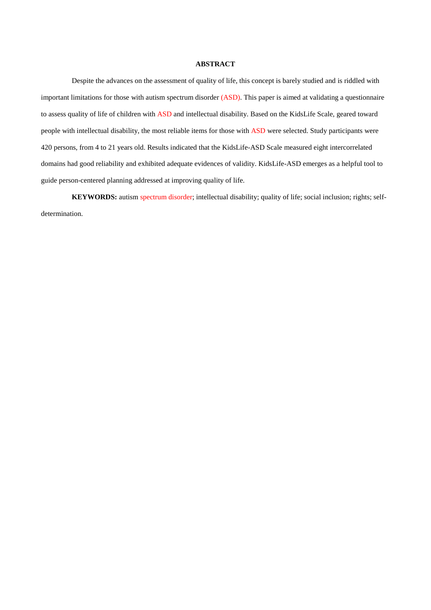# **ABSTRACT**

Despite the advances on the assessment of quality of life, this concept is barely studied and is riddled with important limitations for those with autism spectrum disorder (ASD). This paper is aimed at validating a questionnaire to assess quality of life of children with ASD and intellectual disability. Based on the KidsLife Scale, geared toward people with intellectual disability, the most reliable items for those with ASD were selected. Study participants were 420 persons, from 4 to 21 years old. Results indicated that the KidsLife-ASD Scale measured eight intercorrelated domains had good reliability and exhibited adequate evidences of validity. KidsLife-ASD emerges as a helpful tool to guide person-centered planning addressed at improving quality of life.

**KEYWORDS:** autism spectrum disorder; intellectual disability; quality of life; social inclusion; rights; selfdetermination.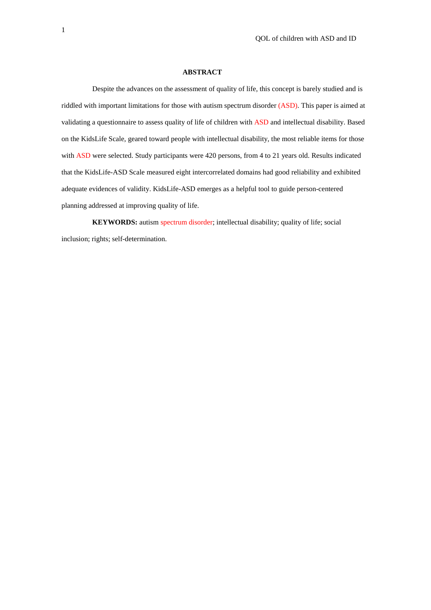#### **ABSTRACT**

Despite the advances on the assessment of quality of life, this concept is barely studied and is riddled with important limitations for those with autism spectrum disorder (ASD). This paper is aimed at validating a questionnaire to assess quality of life of children with ASD and intellectual disability. Based on the KidsLife Scale, geared toward people with intellectual disability, the most reliable items for those with ASD were selected. Study participants were 420 persons, from 4 to 21 years old. Results indicated that the KidsLife-ASD Scale measured eight intercorrelated domains had good reliability and exhibited adequate evidences of validity. KidsLife-ASD emerges as a helpful tool to guide person-centered planning addressed at improving quality of life.

**KEYWORDS:** autism spectrum disorder; intellectual disability; quality of life; social inclusion; rights; self-determination.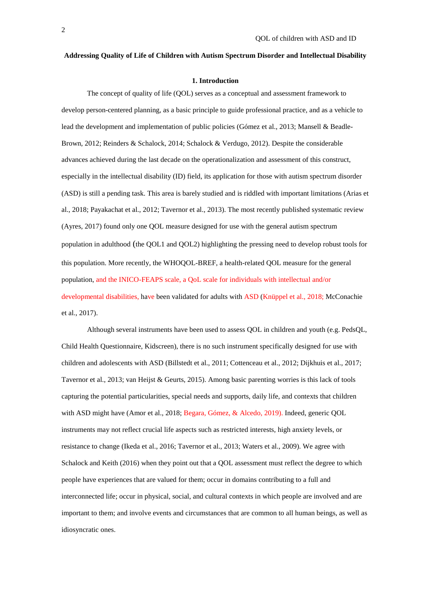# **Addressing Quality of Life of Children with Autism Spectrum Disorder and Intellectual Disability**

#### **1. Introduction**

The concept of quality of life (QOL) serves as a conceptual and assessment framework to develop person-centered planning, as a basic principle to guide professional practice, and as a vehicle to lead the development and implementation of public policies (Gómez et al., 2013; Mansell & Beadle-Brown, 2012; Reinders & Schalock, 2014; Schalock & Verdugo, 2012). Despite the considerable advances achieved during the last decade on the operationalization and assessment of this construct, especially in the intellectual disability (ID) field, its application for those with autism spectrum disorder (ASD) is still a pending task. This area is barely studied and is riddled with important limitations (Arias et al., 2018; Payakachat et al., 2012; Tavernor et al., 2013). The most recently published systematic review (Ayres, 2017) found only one QOL measure designed for use with the general autism spectrum population in adulthood (the QOL1 and QOL2) highlighting the pressing need to develop robust tools for this population. More recently, the WHOQOL-BREF, a health-related QOL measure for the general population, and the INICO-FEAPS scale, a QoL scale for individuals with intellectual and/or developmental disabilities, have been validated for adults with ASD (Knüppel et al., 2018; McConachie et al., 2017).

Although several instruments have been used to assess QOL in children and youth (e.g. PedsQL, Child Health Questionnaire, Kidscreen), there is no such instrument specifically designed for use with children and adolescents with ASD (Billstedt et al., 2011; Cottenceau et al., 2012; Dijkhuis et al., 2017; Tavernor et al., 2013; van Heijst & Geurts, 2015). Among basic parenting worries is this lack of tools capturing the potential particularities, special needs and supports, daily life, and contexts that children with ASD might have (Amor et al., 2018; Begara, Gómez, & Alcedo, 2019). Indeed, generic QOL instruments may not reflect crucial life aspects such as restricted interests, high anxiety levels, or resistance to change (Ikeda et al., 2016; Tavernor et al., 2013; Waters et al., 2009). We agree with Schalock and Keith (2016) when they point out that a QOL assessment must reflect the degree to which people have experiences that are valued for them; occur in domains contributing to a full and interconnected life; occur in physical, social, and cultural contexts in which people are involved and are important to them; and involve events and circumstances that are common to all human beings, as well as idiosyncratic ones.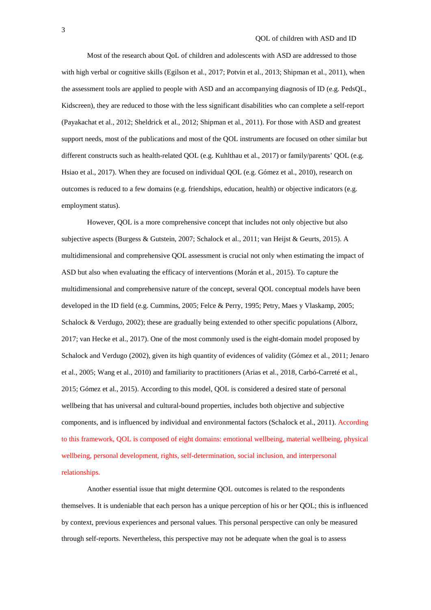Most of the research about QoL of children and adolescents with ASD are addressed to those with high verbal or cognitive skills (Egilson et al., 2017; Potvin et al., 2013; Shipman et al., 2011), when the assessment tools are applied to people with ASD and an accompanying diagnosis of ID (e.g. PedsQL, Kidscreen), they are reduced to those with the less significant disabilities who can complete a self-report (Payakachat et al., 2012; Sheldrick et al., 2012; Shipman et al., 2011). For those with ASD and greatest support needs, most of the publications and most of the QOL instruments are focused on other similar but different constructs such as health-related QOL (e.g. Kuhlthau et al., 2017) or family/parents' QOL (e.g. Hsiao et al., 2017). When they are focused on individual QOL (e.g. Gómez et al., 2010), research on outcomes is reduced to a few domains (e.g. friendships, education, health) or objective indicators (e.g. employment status).

However, QOL is a more comprehensive concept that includes not only objective but also subjective aspects (Burgess & Gutstein, 2007; Schalock et al., 2011; van Heijst & Geurts, 2015). A multidimensional and comprehensive QOL assessment is crucial not only when estimating the impact of ASD but also when evaluating the efficacy of interventions (Morán et al., 2015). To capture the multidimensional and comprehensive nature of the concept, several QOL conceptual models have been developed in the ID field (e.g. Cummins, 2005; Felce & Perry, 1995; Petry, Maes y Vlaskamp, 2005; Schalock & Verdugo, 2002); these are gradually being extended to other specific populations (Alborz, 2017; van Hecke et al., 2017). One of the most commonly used is the eight-domain model proposed by Schalock and Verdugo (2002), given its high quantity of evidences of validity (Gómez et al., 2011; Jenaro et al., 2005; Wang et al., 2010) and familiarity to practitioners (Arias et al., 2018, Carbó-Carreté et al., 2015; Gómez et al., 2015). According to this model, QOL is considered a desired state of personal wellbeing that has universal and cultural-bound properties, includes both objective and subjective components, and is influenced by individual and environmental factors (Schalock et al., 2011). According to this framework, QOL is composed of eight domains: emotional wellbeing, material wellbeing, physical wellbeing, personal development, rights, self-determination, social inclusion, and interpersonal relationships.

Another essential issue that might determine QOL outcomes is related to the respondents themselves. It is undeniable that each person has a unique perception of his or her QOL; this is influenced by context, previous experiences and personal values. This personal perspective can only be measured through self-reports. Nevertheless, this perspective may not be adequate when the goal is to assess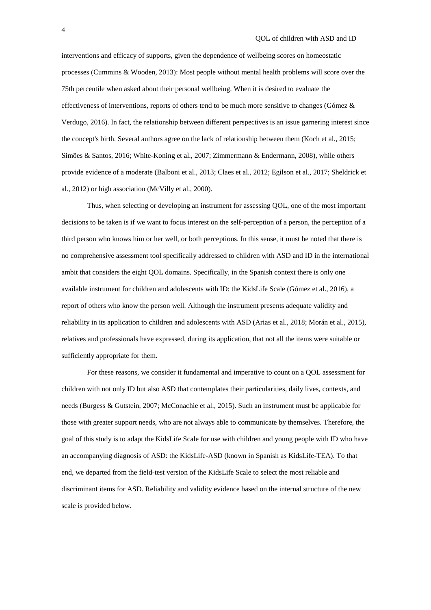interventions and efficacy of supports, given the dependence of wellbeing scores on homeostatic processes (Cummins & Wooden, 2013): Most people without mental health problems will score over the 75th percentile when asked about their personal wellbeing. When it is desired to evaluate the effectiveness of interventions, reports of others tend to be much more sensitive to changes (Gómez & Verdugo, 2016). In fact, the relationship between different perspectives is an issue garnering interest since the concept's birth. Several authors agree on the lack of relationship between them (Koch et al., 2015; Simões & Santos, 2016; White-Koning et al., 2007; Zimmermann & Endermann, 2008), while others provide evidence of a moderate (Balboni et al., 2013; Claes et al., 2012; Egilson et al., 2017; Sheldrick et al., 2012) or high association (McVilly et al., 2000).

Thus, when selecting or developing an instrument for assessing QOL, one of the most important decisions to be taken is if we want to focus interest on the self-perception of a person, the perception of a third person who knows him or her well, or both perceptions. In this sense, it must be noted that there is no comprehensive assessment tool specifically addressed to children with ASD and ID in the international ambit that considers the eight QOL domains. Specifically, in the Spanish context there is only one available instrument for children and adolescents with ID: the KidsLife Scale (Gómez et al., 2016), a report of others who know the person well. Although the instrument presents adequate validity and reliability in its application to children and adolescents with ASD (Arias et al., 2018; Morán et al., 2015), relatives and professionals have expressed, during its application, that not all the items were suitable or sufficiently appropriate for them.

For these reasons, we consider it fundamental and imperative to count on a QOL assessment for children with not only ID but also ASD that contemplates their particularities, daily lives, contexts, and needs (Burgess & Gutstein, 2007; McConachie et al., 2015). Such an instrument must be applicable for those with greater support needs, who are not always able to communicate by themselves. Therefore, the goal of this study is to adapt the KidsLife Scale for use with children and young people with ID who have an accompanying diagnosis of ASD: the KidsLife-ASD (known in Spanish as KidsLife-TEA). To that end, we departed from the field-test version of the KidsLife Scale to select the most reliable and discriminant items for ASD. Reliability and validity evidence based on the internal structure of the new scale is provided below.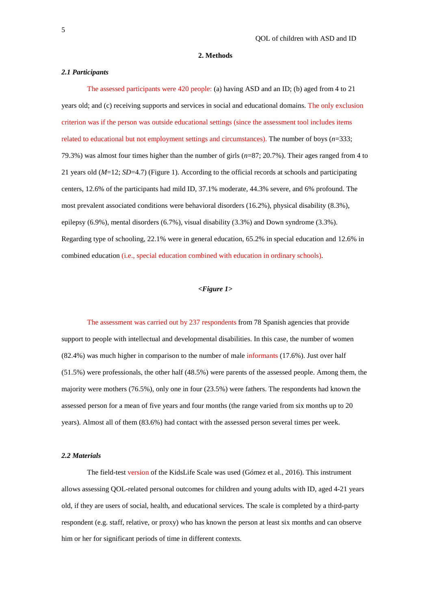#### **2. Methods**

#### *2.1 Participants*

The assessed participants were 420 people: (a) having ASD and an ID; (b) aged from 4 to 21 years old; and (c) receiving supports and services in social and educational domains. The only exclusion criterion was if the person was outside educational settings (since the assessment tool includes items related to educational but not employment settings and circumstances). The number of boys (*n*=333; 79.3%) was almost four times higher than the number of girls (*n*=87; 20.7%). Their ages ranged from 4 to 21 years old (*M*=12; *SD*=4.7) (Figure 1). According to the official records at schools and participating centers, 12.6% of the participants had mild ID, 37.1% moderate, 44.3% severe, and 6% profound. The most prevalent associated conditions were behavioral disorders (16.2%), physical disability (8.3%), epilepsy (6.9%), mental disorders (6.7%), visual disability (3.3%) and Down syndrome (3.3%). Regarding type of schooling, 22.1% were in general education, 65.2% in special education and 12.6% in combined education (i.e., special education combined with education in ordinary schools).

#### *<Figure 1>*

The assessment was carried out by 237 respondents from 78 Spanish agencies that provide support to people with intellectual and developmental disabilities. In this case, the number of women (82.4%) was much higher in comparison to the number of male informants (17.6%). Just over half (51.5%) were professionals, the other half (48.5%) were parents of the assessed people. Among them, the majority were mothers (76.5%), only one in four (23.5%) were fathers. The respondents had known the assessed person for a mean of five years and four months (the range varied from six months up to 20 years). Almost all of them (83.6%) had contact with the assessed person several times per week.

## *2.2 Materials*

The field-test version of the KidsLife Scale was used (Gómez et al., 2016). This instrument allows assessing QOL-related personal outcomes for children and young adults with ID, aged 4-21 years old, if they are users of social, health, and educational services. The scale is completed by a third-party respondent (e.g. staff, relative, or proxy) who has known the person at least six months and can observe him or her for significant periods of time in different contexts.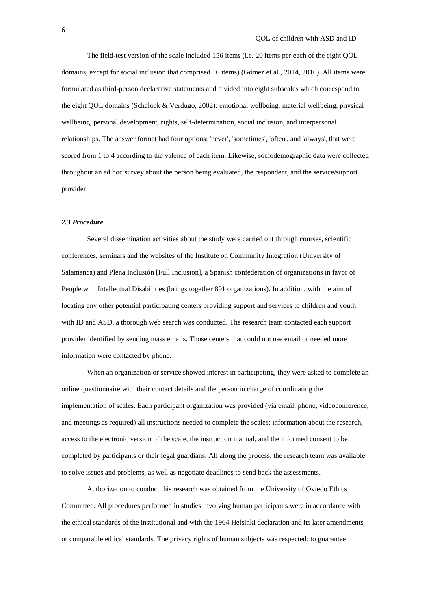The field-test version of the scale included 156 items (i.e. 20 items per each of the eight QOL domains, except for social inclusion that comprised 16 items) (Gómez et al., 2014, 2016). All items were formulated as third-person declarative statements and divided into eight subscales which correspond to the eight QOL domains (Schalock & Verdugo, 2002): emotional wellbeing, material wellbeing, physical wellbeing, personal development, rights, self-determination, social inclusion, and interpersonal relationships. The answer format had four options: 'never', 'sometimes', 'often', and 'always', that were scored from 1 to 4 according to the valence of each item. Likewise, sociodemographic data were collected throughout an ad hoc survey about the person being evaluated, the respondent, and the service/support provider.

#### *2.3 Procedure*

Several dissemination activities about the study were carried out through courses, scientific conferences, seminars and the websites of the Institute on Community Integration (University of Salamanca) and Plena Inclusión [Full Inclusion], a Spanish confederation of organizations in favor of People with Intellectual Disabilities (brings together 891 organizations). In addition, with the aim of locating any other potential participating centers providing support and services to children and youth with ID and ASD, a thorough web search was conducted. The research team contacted each support provider identified by sending mass emails. Those centers that could not use email or needed more information were contacted by phone.

When an organization or service showed interest in participating, they were asked to complete an online questionnaire with their contact details and the person in charge of coordinating the implementation of scales. Each participant organization was provided (via email, phone, videoconference, and meetings as required) all instructions needed to complete the scales: information about the research, access to the electronic version of the scale, the instruction manual, and the informed consent to be completed by participants or their legal guardians. All along the process, the research team was available to solve issues and problems, as well as negotiate deadlines to send back the assessments.

Authorization to conduct this research was obtained from the University of Oviedo Ethics Committee. All procedures performed in studies involving human participants were in accordance with the ethical standards of the institutional and with the 1964 Helsinki declaration and its later amendments or comparable ethical standards. The privacy rights of human subjects was respected: to guarantee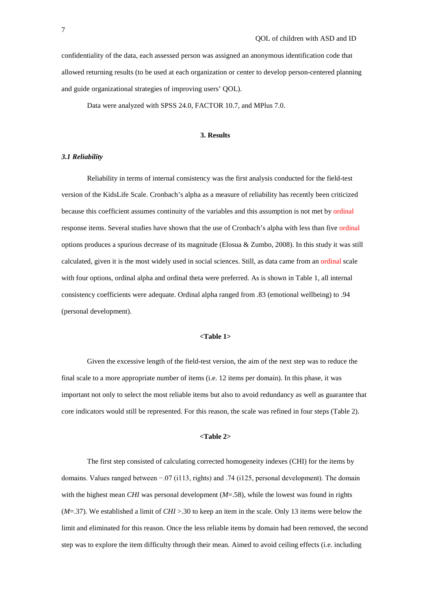confidentiality of the data, each assessed person was assigned an anonymous identification code that allowed returning results (to be used at each organization or center to develop person-centered planning and guide organizational strategies of improving users' QOL).

Data were analyzed with SPSS 24.0, FACTOR 10.7, and MPlus 7.0.

#### **3. Results**

#### *3.1 Reliability*

Reliability in terms of internal consistency was the first analysis conducted for the field-test version of the KidsLife Scale. Cronbach's alpha as a measure of reliability has recently been criticized because this coefficient assumes continuity of the variables and this assumption is not met by ordinal response items. Several studies have shown that the use of Cronbach's alpha with less than five ordinal options produces a spurious decrease of its magnitude (Elosua & Zumbo, 2008). In this study it was still calculated, given it is the most widely used in social sciences. Still, as data came from an ordinal scale with four options, ordinal alpha and ordinal theta were preferred. As is shown in Table 1, all internal consistency coefficients were adequate. Ordinal alpha ranged from .83 (emotional wellbeing) to .94 (personal development).

#### **<Table 1>**

Given the excessive length of the field-test version, the aim of the next step was to reduce the final scale to a more appropriate number of items (i.e. 12 items per domain). In this phase, it was important not only to select the most reliable items but also to avoid redundancy as well as guarantee that core indicators would still be represented. For this reason, the scale was refined in four steps (Table 2).

#### **<Table 2>**

The first step consisted of calculating corrected homogeneity indexes (CHI) for the items by domains. Values ranged between −.07 (i113, rights) and .74 (i125, personal development). The domain with the highest mean *CHI* was personal development ( $M=0.58$ ), while the lowest was found in rights (*M*=.37). We established a limit of *CHI* >.30 to keep an item in the scale. Only 13 items were below the limit and eliminated for this reason. Once the less reliable items by domain had been removed, the second step was to explore the item difficulty through their mean. Aimed to avoid ceiling effects (i.e. including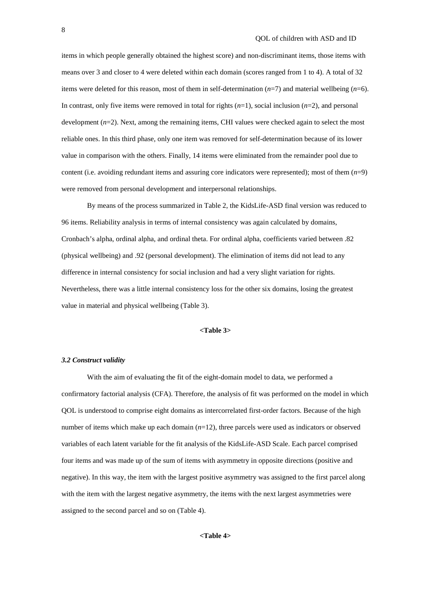items in which people generally obtained the highest score) and non-discriminant items, those items with means over 3 and closer to 4 were deleted within each domain (scores ranged from 1 to 4). A total of 32 items were deleted for this reason, most of them in self-determination (*n*=7) and material wellbeing (*n*=6). In contrast, only five items were removed in total for rights (*n*=1), social inclusion (*n*=2), and personal development ( $n=2$ ). Next, among the remaining items, CHI values were checked again to select the most reliable ones. In this third phase, only one item was removed for self-determination because of its lower value in comparison with the others. Finally, 14 items were eliminated from the remainder pool due to content (i.e. avoiding redundant items and assuring core indicators were represented); most of them (*n*=9) were removed from personal development and interpersonal relationships.

By means of the process summarized in Table 2, the KidsLife-ASD final version was reduced to 96 items. Reliability analysis in terms of internal consistency was again calculated by domains, Cronbach's alpha, ordinal alpha, and ordinal theta. For ordinal alpha, coefficients varied between .82 (physical wellbeing) and .92 (personal development). The elimination of items did not lead to any difference in internal consistency for social inclusion and had a very slight variation for rights. Nevertheless, there was a little internal consistency loss for the other six domains, losing the greatest value in material and physical wellbeing (Table 3).

#### **<Table 3>**

## *3.2 Construct validity*

With the aim of evaluating the fit of the eight-domain model to data, we performed a confirmatory factorial analysis (CFA). Therefore, the analysis of fit was performed on the model in which QOL is understood to comprise eight domains as intercorrelated first-order factors. Because of the high number of items which make up each domain (*n*=12), three parcels were used as indicators or observed variables of each latent variable for the fit analysis of the KidsLife-ASD Scale. Each parcel comprised four items and was made up of the sum of items with asymmetry in opposite directions (positive and negative). In this way, the item with the largest positive asymmetry was assigned to the first parcel along with the item with the largest negative asymmetry, the items with the next largest asymmetries were assigned to the second parcel and so on (Table 4).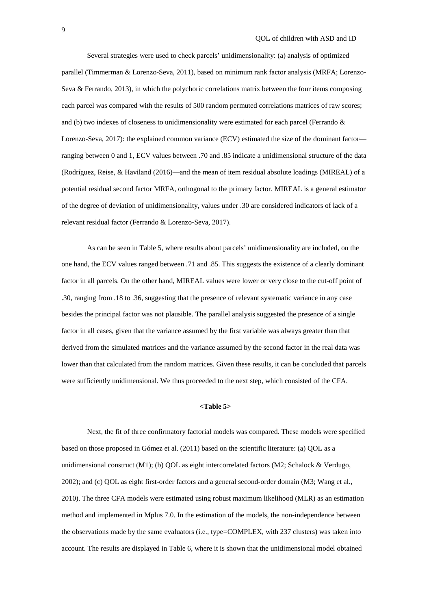Several strategies were used to check parcels' unidimensionality: (a) analysis of optimized parallel (Timmerman & Lorenzo-Seva, 2011), based on minimum rank factor analysis (MRFA; Lorenzo-Seva & Ferrando, 2013), in which the polychoric correlations matrix between the four items composing each parcel was compared with the results of 500 random permuted correlations matrices of raw scores; and (b) two indexes of closeness to unidimensionality were estimated for each parcel (Ferrando & Lorenzo-Seva, 2017): the explained common variance (ECV) estimated the size of the dominant factor ranging between 0 and 1, ECV values between .70 and .85 indicate a unidimensional structure of the data (Rodríguez, Reise, & Haviland (2016)—and the mean of item residual absolute loadings (MIREAL) of a potential residual second factor MRFA, orthogonal to the primary factor. MIREAL is a general estimator of the degree of deviation of unidimensionality, values under .30 are considered indicators of lack of a relevant residual factor (Ferrando & Lorenzo-Seva, 2017).

As can be seen in Table 5, where results about parcels' unidimensionality are included, on the one hand, the ECV values ranged between .71 and .85. This suggests the existence of a clearly dominant factor in all parcels. On the other hand, MIREAL values were lower or very close to the cut-off point of .30, ranging from .18 to .36, suggesting that the presence of relevant systematic variance in any case besides the principal factor was not plausible. The parallel analysis suggested the presence of a single factor in all cases, given that the variance assumed by the first variable was always greater than that derived from the simulated matrices and the variance assumed by the second factor in the real data was lower than that calculated from the random matrices. Given these results, it can be concluded that parcels were sufficiently unidimensional. We thus proceeded to the next step, which consisted of the CFA.

#### **<Table 5>**

Next, the fit of three confirmatory factorial models was compared. These models were specified based on those proposed in Gómez et al. (2011) based on the scientific literature: (a) QOL as a unidimensional construct (M1); (b) QOL as eight intercorrelated factors (M2; Schalock & Verdugo, 2002); and (c) QOL as eight first-order factors and a general second-order domain (M3; Wang et al., 2010). The three CFA models were estimated using robust maximum likelihood (MLR) as an estimation method and implemented in Mplus 7.0. In the estimation of the models, the non-independence between the observations made by the same evaluators (i.e., type=COMPLEX, with 237 clusters) was taken into account. The results are displayed in Table 6, where it is shown that the unidimensional model obtained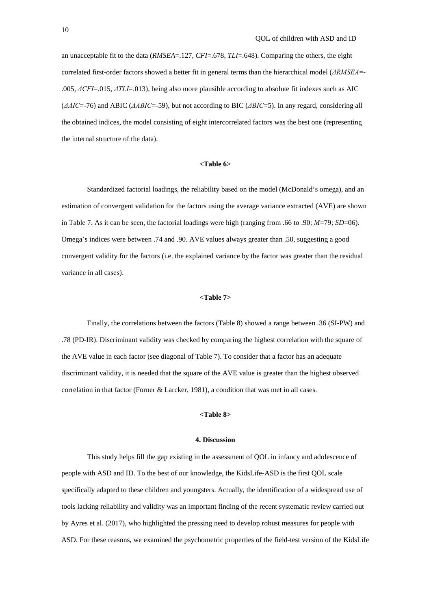an unacceptable fit to the data (*RMSEA*=.127, *CFI*=.678, *TLI*=.648). Comparing the others, the eight correlated first-order factors showed a better fit in general terms than the hierarchical model (*ΔRMSEA*=- .005, *ΔCFI*=.015, *ΔTLI*=.013), being also more plausible according to absolute fit indexes such as AIC (*ΔAIC*=-76) and ABIC (*ΔABIC*=-59), but not according to BIC (*ΔBIC*=5). In any regard, considering all the obtained indices, the model consisting of eight intercorrelated factors was the best one (representing the internal structure of the data).

#### **<Table 6>**

Standardized factorial loadings, the reliability based on the model (McDonald's omega), and an estimation of convergent validation for the factors using the average variance extracted (AVE) are shown in Table 7. As it can be seen, the factorial loadings were high (ranging from .66 to .90; *M*=79; *SD*=06). Omega's indices were between .74 and .90. AVE values always greater than .50, suggesting a good convergent validity for the factors (i.e. the explained variance by the factor was greater than the residual variance in all cases).

# **<Table 7>**

Finally, the correlations between the factors (Table 8) showed a range between .36 (SI-PW) and .78 (PD-IR). Discriminant validity was checked by comparing the highest correlation with the square of the AVE value in each factor (see diagonal of Table 7). To consider that a factor has an adequate discriminant validity, it is needed that the square of the AVE value is greater than the highest observed correlation in that factor (Forner & Larcker, 1981), a condition that was met in all cases.

#### **<Table 8>**

#### **4. Discussion**

This study helps fill the gap existing in the assessment of QOL in infancy and adolescence of people with ASD and ID. To the best of our knowledge, the KidsLife-ASD is the first QOL scale specifically adapted to these children and youngsters. Actually, the identification of a widespread use of tools lacking reliability and validity was an important finding of the recent systematic review carried out by Ayres et al. (2017), who highlighted the pressing need to develop robust measures for people with ASD. For these reasons, we examined the psychometric properties of the field-test version of the KidsLife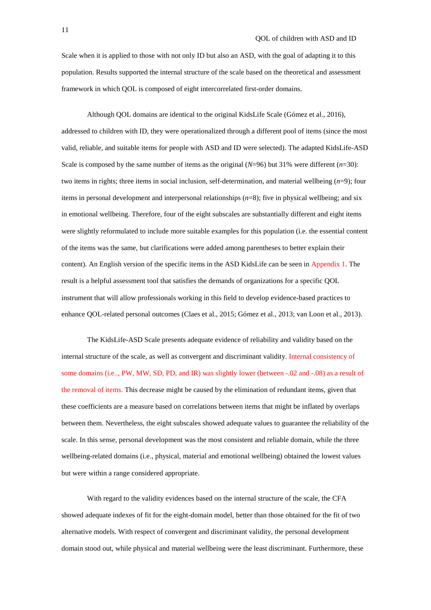Scale when it is applied to those with not only ID but also an ASD, with the goal of adapting it to this population. Results supported the internal structure of the scale based on the theoretical and assessment framework in which QOL is composed of eight intercorrelated first-order domains.

Although QOL domains are identical to the original KidsLife Scale (Gómez et al., 2016), addressed to children with ID, they were operationalized through a different pool of items (since the most valid, reliable, and suitable items for people with ASD and ID were selected). The adapted KidsLife-ASD Scale is composed by the same number of items as the original  $(N=96)$  but 31% were different  $(n=30)$ : two items in rights; three items in social inclusion, self-determination, and material wellbeing (*n*=9); four items in personal development and interpersonal relationships (*n*=8); five in physical wellbeing; and six in emotional wellbeing. Therefore, four of the eight subscales are substantially different and eight items were slightly reformulated to include more suitable examples for this population (i.e. the essential content of the items was the same, but clarifications were added among parentheses to better explain their content). An English version of the specific items in the ASD KidsLife can be seen in Appendix 1. The result is a helpful assessment tool that satisfies the demands of organizations for a specific QOL instrument that will allow professionals working in this field to develop evidence-based practices to enhance QOL-related personal outcomes (Claes et al., 2015; Gómez et al., 2013; van Loon et al., 2013).

The KidsLife-ASD Scale presents adequate evidence of reliability and validity based on the internal structure of the scale, as well as convergent and discriminant validity. Internal consistency of some domains (i.e.., PW, MW, SD, PD, and IR) was slightly lower (between -.02 and -.08) as a result of the removal of items. This decrease might be caused by the elimination of redundant items, given that these coefficients are a measure based on correlations between items that might be inflated by overlaps between them. Nevertheless, the eight subscales showed adequate values to guarantee the reliability of the scale. In this sense, personal development was the most consistent and reliable domain, while the three wellbeing-related domains (i.e., physical, material and emotional wellbeing) obtained the lowest values but were within a range considered appropriate.

With regard to the validity evidences based on the internal structure of the scale, the CFA showed adequate indexes of fit for the eight-domain model, better than those obtained for the fit of two alternative models. With respect of convergent and discriminant validity, the personal development domain stood out, while physical and material wellbeing were the least discriminant. Furthermore, these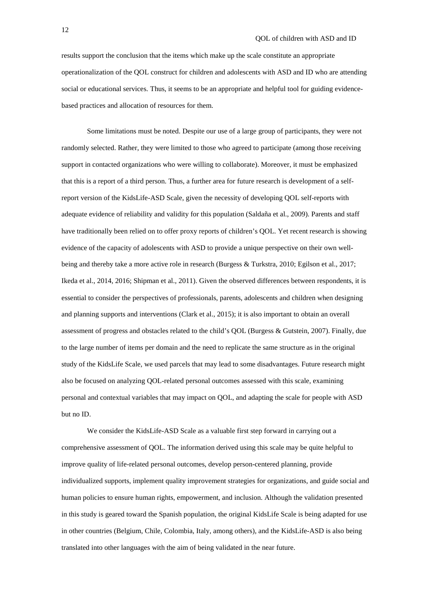results support the conclusion that the items which make up the scale constitute an appropriate operationalization of the QOL construct for children and adolescents with ASD and ID who are attending social or educational services. Thus, it seems to be an appropriate and helpful tool for guiding evidencebased practices and allocation of resources for them.

Some limitations must be noted. Despite our use of a large group of participants, they were not randomly selected. Rather, they were limited to those who agreed to participate (among those receiving support in contacted organizations who were willing to collaborate). Moreover, it must be emphasized that this is a report of a third person. Thus, a further area for future research is development of a selfreport version of the KidsLife-ASD Scale, given the necessity of developing QOL self-reports with adequate evidence of reliability and validity for this population (Saldaña et al., 2009). Parents and staff have traditionally been relied on to offer proxy reports of children's QOL. Yet recent research is showing evidence of the capacity of adolescents with ASD to provide a unique perspective on their own wellbeing and thereby take a more active role in research (Burgess & Turkstra, 2010; Egilson et al., 2017; Ikeda et al., 2014, 2016; Shipman et al., 2011). Given the observed differences between respondents, it is essential to consider the perspectives of professionals, parents, adolescents and children when designing and planning supports and interventions (Clark et al., 2015); it is also important to obtain an overall assessment of progress and obstacles related to the child's QOL (Burgess & Gutstein, 2007). Finally, due to the large number of items per domain and the need to replicate the same structure as in the original study of the KidsLife Scale, we used parcels that may lead to some disadvantages. Future research might also be focused on analyzing QOL-related personal outcomes assessed with this scale, examining personal and contextual variables that may impact on QOL, and adapting the scale for people with ASD but no ID.

We consider the KidsLife-ASD Scale as a valuable first step forward in carrying out a comprehensive assessment of QOL. The information derived using this scale may be quite helpful to improve quality of life-related personal outcomes, develop person-centered planning, provide individualized supports, implement quality improvement strategies for organizations, and guide social and human policies to ensure human rights, empowerment, and inclusion. Although the validation presented in this study is geared toward the Spanish population, the original KidsLife Scale is being adapted for use in other countries (Belgium, Chile, Colombia, Italy, among others), and the KidsLife-ASD is also being translated into other languages with the aim of being validated in the near future.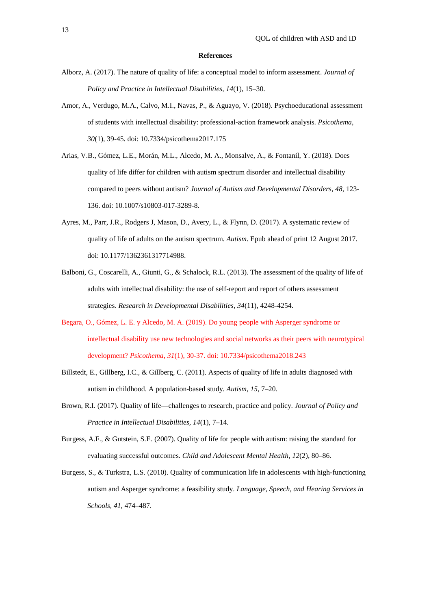#### **References**

- Alborz, A. (2017). The nature of quality of life: a conceptual model to inform assessment. *Journal of Policy and Practice in Intellectual Disabilities, 14*(1), 15–30.
- Amor, A., Verdugo, M.A., Calvo, M.I., Navas, P., & Aguayo, V. (2018). Psychoeducational assessment of students with intellectual disability: professional-action framework analysis. *Psicothema, 30*(1), 39-45. doi: 10.7334/psicothema2017.175
- Arias, V.B., Gómez, L.E., Morán, M.L., Alcedo, M. A., Monsalve, A., & Fontanil, Y. (2018). Does quality of life differ for children with autism spectrum disorder and intellectual disability compared to peers without autism? *Journal of Autism and Developmental Disorders, 48,* 123- 136. doi: 10.1007/s10803-017-3289-8.
- Ayres, M., Parr, J.R., Rodgers J, Mason, D., Avery, L., & Flynn, D. (2017). A systematic review of quality of life of adults on the autism spectrum. *Autism*. Epub ahead of print 12 August 2017. doi: 10.1177/1362361317714988.
- Balboni, G., Coscarelli, A., Giunti, G., & Schalock, R.L. (2013). The assessment of the quality of life of adults with intellectual disability: the use of self-report and report of others assessment strategies. *Research in Developmental Disabilities, 34*(11), 4248-4254.
- Begara, O., Gómez, L. E. y Alcedo, M. A. (2019). Do young people with Asperger syndrome or intellectual disability use new technologies and social networks as their peers with neurotypical development? *Psicothema, 31*(1), 30-37. doi: 10.7334/psicothema2018.243
- Billstedt, E., Gillberg, I.C., & Gillberg, C. (2011). Aspects of quality of life in adults diagnosed with autism in childhood. A population-based study*. Autism, 15*, 7–20.
- Brown, R.I. (2017). Quality of life—challenges to research, practice and policy. *Journal of Policy and Practice in Intellectual Disabilities, 14*(1), 7–14.
- Burgess, A.F., & Gutstein, S.E. (2007). Quality of life for people with autism: raising the standard for evaluating successful outcomes. *Child and Adolescent Mental Health, 12*(2), 80–86.
- Burgess, S., & Turkstra, L.S. (2010). Quality of communication life in adolescents with high-functioning autism and Asperger syndrome: a feasibility study. *Language, Speech, and Hearing Services in Schools, 41*, 474–487.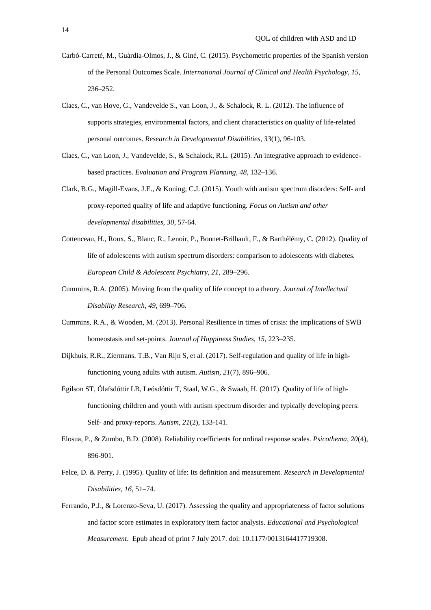- Carbó-Carreté, M., Guàrdia-Olmos, J., & Giné, C. (2015). Psychometric properties of the Spanish version of the Personal Outcomes Scale. *International Journal of Clinical and Health Psychology, 15*, 236–252.
- Claes, C., van Hove, G., Vandevelde S., van Loon, J., & Schalock, R. L. (2012). The influence of supports strategies, environmental factors, and client characteristics on quality of life-related personal outcomes. *Research in Developmental Disabilities, 33*(1), 96-103.
- Claes, C., van Loon, J., Vandevelde, S., & Schalock, R.L. (2015). An integrative approach to evidencebased practices. *Evaluation and Program Planning, 48*, 132–136.
- Clark, B.G., Magill-Evans, J.E., & Koning, C.J. (2015). Youth with autism spectrum disorders: Self- and proxy-reported quality of life and adaptive functioning. *Focus on Autism and other developmental disabilities, 30*, 57-64.
- Cottenceau, H., Roux, S., Blanc, R., Lenoir, P., Bonnet-Brilhault, F., & Barthélémy, C. (2012). Quality of life of adolescents with autism spectrum disorders: comparison to adolescents with diabetes. *European Child & Adolescent Psychiatry, 21*, 289–296.
- Cummins, R.A. (2005). Moving from the quality of life concept to a theory. *Journal of Intellectual Disability Research, 49*, 699–706.
- Cummins, R.A., & Wooden, M. (2013). Personal Resilience in times of crisis: the implications of SWB homeostasis and set-points. *Journal of Happiness Studies, 15*, 223–235.
- Dijkhuis, R.R., Ziermans, T.B., Van Rijn S, et al. (2017). Self-regulation and quality of life in highfunctioning young adults with autism. *Autism, 21*(7), 896–906.
- Egilson ST, Ólafsdóttir LB, Leósdóttir T, Staal, W.G., & Swaab, H. (2017). Quality of life of highfunctioning children and youth with autism spectrum disorder and typically developing peers: Self- and proxy-reports. *Autism, 21*(2), 133-141.
- Elosua, P., & Zumbo, B.D. (2008). Reliability coefficients for ordinal response scales. *Psicothema, 20*(4), 896-901.
- Felce, D. & Perry, J. (1995). Quality of life: Its definition and measurement. *Research in Developmental Disabilities, 16*, 51–74.
- Ferrando, P.J., & Lorenzo-Seva, U. (2017). Assessing the quality and appropriateness of factor solutions and factor score estimates in exploratory item factor analysis. *Educational and Psychological Measurement*. Epub ahead of print 7 July 2017. doi: 10.1177/0013164417719308.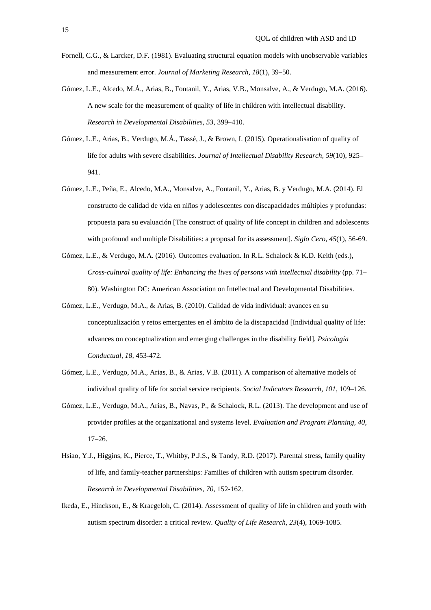- Fornell, C.G., & Larcker, D.F. (1981). Evaluating structural equation models with unobservable variables and measurement error. *Journal of Marketing Research, 18*(1), 39–50.
- Gómez, L.E., Alcedo, M.Á., Arias, B., Fontanil, Y., Arias, V.B., Monsalve, A., & Verdugo, M.A. (2016). A new scale for the measurement of quality of life in children with intellectual disability. *Research in Developmental Disabilities, 53*, 399–410.
- Gómez, L.E., Arias, B., Verdugo, M.Á., Tassé, J., & Brown, I. (2015). Operationalisation of quality of life for adults with severe disabilities. *Journal of Intellectual Disability Research, 59*(10), 925– 941.
- Gómez, L.E., Peña, E., Alcedo, M.A., Monsalve, A., Fontanil, Y., Arias, B. y Verdugo, M.A. (2014). El constructo de calidad de vida en niños y adolescentes con discapacidades múltiples y profundas: propuesta para su evaluación [The construct of quality of life concept in children and adolescents with profound and multiple Disabilities: a proposal for its assessment]. *Siglo Cero, 45*(1), 56-69.
- Gómez, L.E., & Verdugo, M.A. (2016). Outcomes evaluation. In R.L. Schalock & K.D. Keith (eds.), *Cross-cultural quality of life: Enhancing the lives of persons with intellectual disability* (pp. 71– 80). Washington DC: American Association on Intellectual and Developmental Disabilities.
- Gómez, L.E., Verdugo, M.A., & Arias, B. (2010). Calidad de vida individual: avances en su conceptualización y retos emergentes en el ámbito de la discapacidad [Individual quality of life: advances on conceptualization and emerging challenges in the disability field]*. Psicología Conductual, 18,* 453-472.
- Gómez, L.E., Verdugo, M.A., Arias, B., & Arias, V.B. (2011). A comparison of alternative models of individual quality of life for social service recipients. *Social Indicators Research, 101,* 109–126.
- Gómez, L.E., Verdugo, M.A., Arias, B., Navas, P., & Schalock, R.L. (2013). The development and use of provider profiles at the organizational and systems level. *Evaluation and Program Planning, 40*, 17–26.
- Hsiao, Y.J., Higgins, K., Pierce, T., Whitby, P.J.S., & Tandy, R.D. (2017). Parental stress, family quality of life, and family-teacher partnerships: Families of children with autism spectrum disorder. *Research in Developmental Disabilities, 70*, 152-162.
- Ikeda, E., Hinckson, E., & Kraegeloh, C. (2014). Assessment of quality of life in children and youth with autism spectrum disorder: a critical review. *Quality of Life Research, 23*(4), 1069-1085.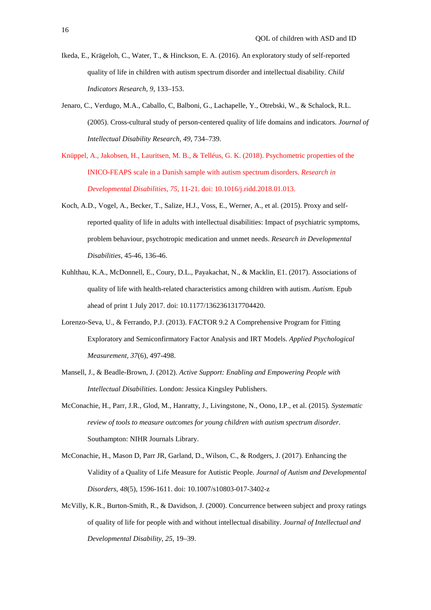- Ikeda, E., Krägeloh, C., Water, T., & Hinckson, E. A. (2016). An exploratory study of self-reported quality of life in children with autism spectrum disorder and intellectual disability. *Child Indicators Research, 9*, 133–153.
- Jenaro, C., Verdugo, M.A., Caballo, C, Balboni, G., Lachapelle, Y., Otrebski, W., & Schalock, R.L. (2005). Cross-cultural study of person-centered quality of life domains and indicators. *Journal of Intellectual Disability Research, 49*, 734–739.
- Knüppel, A., Jakobsen, H., Lauritsen, M. B., & Telléus, G. K. (2018). Psychometric properties of the INICO-FEAPS scale in a Danish sample with autism spectrum disorders. *Research in Developmental Disabilities, 75*, 11-21. doi: 10.1016/j.ridd.2018.01.013.
- Koch, A.D., Vogel, A., Becker, T., Salize, H.J., Voss, E., Werner, A., et al. (2015). Proxy and selfreported quality of life in adults with intellectual disabilities: Impact of psychiatric symptoms, problem behaviour, psychotropic medication and unmet needs. *Research in Developmental Disabilities,* 45-46*,* 136-46.
- Kuhlthau, K.A., McDonnell, E., Coury, D.L., Payakachat, N., & Macklin, E1. (2017). Associations of quality of life with health-related characteristics among children with autism. *Autism*. Epub ahead of print 1 July 2017. doi: 10.1177/1362361317704420.
- Lorenzo-Seva, U., & Ferrando, P.J. (2013). FACTOR 9.2 A Comprehensive Program for Fitting Exploratory and Semiconfirmatory Factor Analysis and IRT Models. *Applied Psychological Measurement, 37*(6), 497-498.
- Mansell, J., & Beadle-Brown, J. (2012). *Active Support: Enabling and Empowering People with Intellectual Disabilities.* London: Jessica Kingsley Publishers.
- McConachie, H., Parr, J.R., Glod, M., Hanratty, J., Livingstone, N., Oono, I.P., et al. (2015)*. Systematic review of tools to measure outcomes for young children with autism spectrum disorder*. Southampton: NIHR Journals Library.
- McConachie, H., Mason D, Parr JR, Garland, D., Wilson, C., & Rodgers, J. (2017). Enhancing the Validity of a Quality of Life Measure for Autistic People. *Journal of Autism and Developmental Disorders*, *48*(5), 1596-1611. doi: 10.1007/s10803-017-3402-z
- McVilly, K.R., Burton-Smith, R., & Davidson, J. (2000). Concurrence between subject and proxy ratings of quality of life for people with and without intellectual disability. *Journal of Intellectual and Developmental Disability, 25*, 19–39.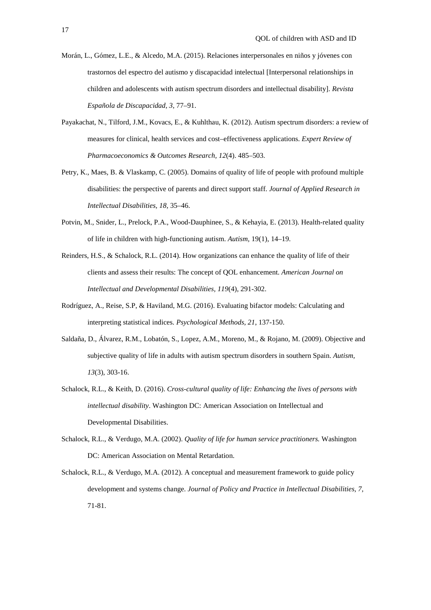- Morán, L., Gómez, L.E., & Alcedo, M.A. (2015). Relaciones interpersonales en niños y jóvenes con trastornos del espectro del autismo y discapacidad intelectual [Interpersonal relationships in children and adolescents with autism spectrum disorders and intellectual disability]. *Revista Española de Discapacidad, 3*, 77–91.
- Payakachat, N., Tilford, J.M., Kovacs, E., & Kuhlthau, K. (2012). Autism spectrum disorders: a review of measures for clinical, health services and cost–effectiveness applications. *Expert Review of Pharmacoeconomics & Outcomes Research, 12*(4). 485–503.
- Petry, K., Maes, B. & Vlaskamp, C. (2005). Domains of quality of life of people with profound multiple disabilities: the perspective of parents and direct support staff. *Journal of Applied Research in Intellectual Disabilities, 18,* 35–46.
- Potvin, M., Snider, L., Prelock, P.A., Wood-Dauphinee, S., & Kehayia, E. (2013). Health-related quality of life in children with high-functioning autism. *Autism,* 19(1), 14–19.
- Reinders, H.S., & Schalock, R.L. (2014). How organizations can enhance the quality of life of their clients and assess their results: The concept of QOL enhancement. *American Journal on Intellectual and Developmental Disabilities, 119*(4), 291-302.
- Rodríguez, A., Reise, S.P, & Haviland, M.G. (2016). Evaluating bifactor models: Calculating and interpreting statistical indices. *Psychological Methods, 21*, 137-150.
- Saldaña, D., Álvarez, R.M., Lobatón, S., Lopez, A.M., Moreno, M., & Rojano, M. (2009). Objective and subjective quality of life in adults with autism spectrum disorders in southern Spain. *Autism, 13*(3), 303-16.
- Schalock, R.L., & Keith, D. (2016). *Cross-cultural quality of life: Enhancing the lives of persons with intellectual disability*. Washington DC: American Association on Intellectual and Developmental Disabilities.
- Schalock, R.L., & Verdugo, M.A. (2002). *Quality of life for human service practitioners.* Washington DC: American Association on Mental Retardation.
- Schalock, R.L., & Verdugo, M.A. (2012). A conceptual and measurement framework to guide policy development and systems change. *Journal of Policy and Practice in Intellectual Disabilities, 7*, 71-81.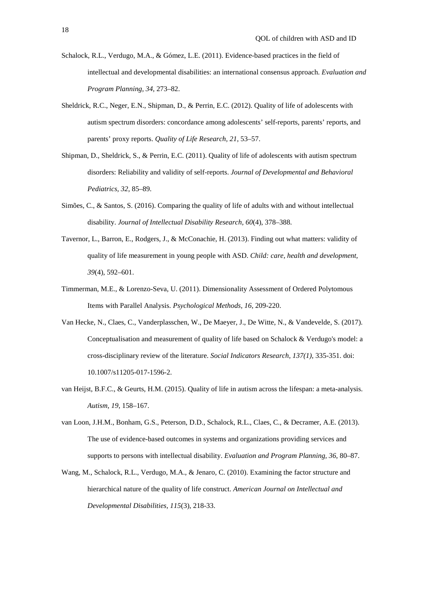- Schalock, R.L., Verdugo, M.A., & Gómez, L.E. (2011). Evidence-based practices in the field of intellectual and developmental disabilities: an international consensus approach. *Evaluation and Program Planning, 34*, 273–82.
- Sheldrick, R.C., Neger, E.N., Shipman, D., & Perrin, E.C. (2012). Quality of life of adolescents with autism spectrum disorders: concordance among adolescents' self-reports, parents' reports, and parents' proxy reports. *Quality of Life Research, 21*, 53–57.
- Shipman, D., Sheldrick, S., & Perrin, E.C. (2011). Quality of life of adolescents with autism spectrum disorders: Reliability and validity of self-reports. *Journal of Developmental and Behavioral Pediatrics, 32*, 85–89.
- Simões, C., & Santos, S. (2016). Comparing the quality of life of adults with and without intellectual disability. *Journal of Intellectual Disability Research, 60*(4), 378–388.
- Tavernor, L., Barron, E., Rodgers, J., & McConachie, H. (2013). Finding out what matters: validity of quality of life measurement in young people with ASD. *Child: care, health and development, 39*(4), 592–601.
- Timmerman, M.E., & Lorenzo-Seva, U. (2011). Dimensionality Assessment of Ordered Polytomous Items with Parallel Analysis. *Psychological Methods, 16*, 209-220.
- Van Hecke, N., Claes, C., Vanderplasschen, W., De Maeyer, J., De Witte, N., & Vandevelde, S. (2017). Conceptualisation and measurement of quality of life based on Schalock & Verdugo's model: a cross-disciplinary review of the literature. *Social Indicators Research, 137(1),* 335-351. doi: 10.1007/s11205-017-1596-2.
- van Heijst, B.F.C., & Geurts, H.M. (2015). Quality of life in autism across the lifespan: a meta-analysis. *Autism, 19*, 158–167.
- van Loon, J.H.M., Bonham, G.S., Peterson, D.D., Schalock, R.L., Claes, C., & Decramer, A.E. (2013). The use of evidence-based outcomes in systems and organizations providing services and supports to persons with intellectual disability. *Evaluation and Program Planning, 36*, 80–87.
- Wang, M., Schalock, R.L., Verdugo, M.A., & Jenaro, C. (2010). Examining the factor structure and hierarchical nature of the quality of life construct. *American Journal on Intellectual and Developmental Disabilities, 115*(3), 218-33.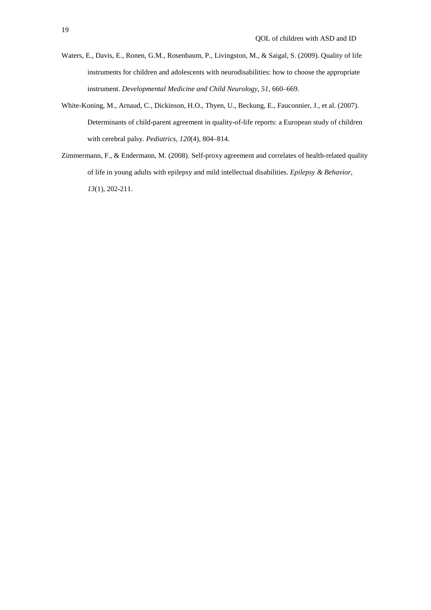- Waters, E., Davis, E., Ronen, G.M., Rosenbaum, P., Livingston, M., & Saigal, S. (2009). Quality of life instruments for children and adolescents with neurodisabilities: how to choose the appropriate instrument. *Developmental Medicine and Child Neurology, 51*, 660–669.
- White-Koning, M., Arnaud, C., Dickinson, H.O., Thyen, U., Beckung, E., Fauconnier, J., et al. (2007). Determinants of child-parent agreement in quality-of-life reports: a European study of children with cerebral palsy. *Pediatrics, 120*(4), 804–814.
- Zimmermann, F., & Endermann, M. (2008). Self-proxy agreement and correlates of health-related quality of life in young adults with epilepsy and mild intellectual disabilities. *Epilepsy & Behavior, 13*(1), 202-211.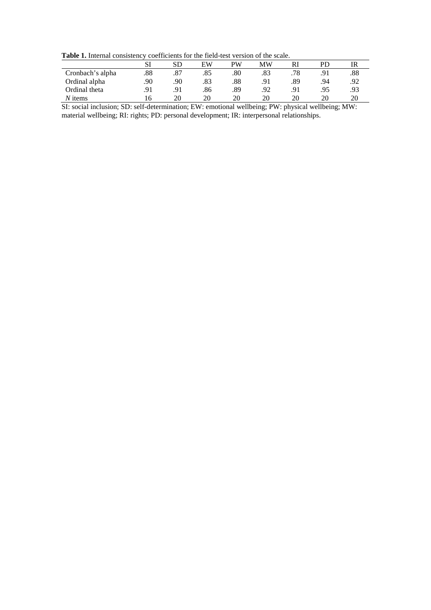Table 1. Internal consistency coefficients for the field-test version of the scale.

|                  | SI  | SD  | ЕW  | PW  | MW  | Rl  |     | IR  |
|------------------|-----|-----|-----|-----|-----|-----|-----|-----|
|                  |     |     |     |     |     |     |     |     |
| Cronbach's alpha | .88 | .87 | .85 | .80 | .83 | .78 | .91 | .88 |
| Ordinal alpha    | 90  | .90 | .83 | .88 | .91 | .89 | .94 | .92 |
| Ordinal theta    | .91 | .91 | .86 | .89 | .92 |     | .95 | .93 |
| $N$ items        |     | 20  | 20  | 20  | 20  | 20  | 20  | 20  |

SI: social inclusion; SD: self-determination; EW: emotional wellbeing; PW: physical wellbeing; MW: material wellbeing; RI: rights; PD: personal development; IR: interpersonal relationships.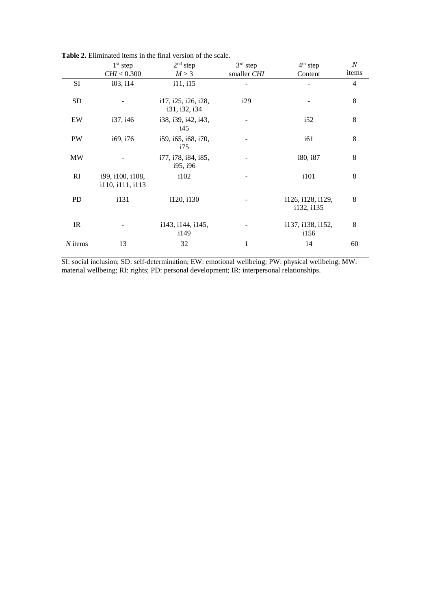|           |                                      | $2nd$ step<br>$3rd$ step<br>$1st$ step |             | $4th$ step                      | $\cal N$ |
|-----------|--------------------------------------|----------------------------------------|-------------|---------------------------------|----------|
|           | CHI < 0.300                          | M > 3                                  | smaller CHI | Content                         | items    |
| SI        | i03, i14                             | i11, i15                               |             |                                 | 4        |
| <b>SD</b> |                                      | i17, i25, i26, i28,<br>i31, i32, i34   | i29         |                                 | 8        |
| EW        | i37, i46                             | i38, i39, i42, i43,<br>145             |             | i52                             | 8        |
| <b>PW</b> | i69, i76                             | i59, i65, i68, i70,<br>i75             |             | i61                             | 8        |
| <b>MW</b> |                                      | i77, i78, i84, i85,<br>i95, i96        |             | i80, i87                        | 8        |
| RI        | i99, i100, i108,<br>i110, i111, i113 | i102                                   |             | i101                            | 8        |
| <b>PD</b> | i131                                 | i120, i130                             |             | i126, i128, i129,<br>i132, i135 | 8        |
| IR        |                                      | i143, i144, i145,<br>i149              |             | i137, i138, i152,<br>i156       | 8        |
| $N$ items | 13                                   | 32                                     | 1           | 14                              | 60       |

**Table 2.** Eliminated items in the final version of the scale.

SI: social inclusion; SD: self-determination; EW: emotional wellbeing; PW: physical wellbeing; MW: material wellbeing; RI: rights; PD: personal development; IR: interpersonal relationships.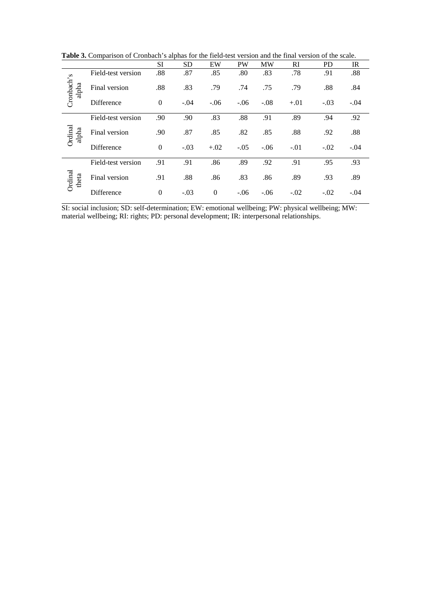**Table 3.** Comparison of Cronbach's alphas for the field-test version and the final version of the scale.

|                                      |                          | SI             | <b>SD</b> | EW       | PW     | <b>MW</b> | RI     | <b>PD</b> | IR     |
|--------------------------------------|--------------------------|----------------|-----------|----------|--------|-----------|--------|-----------|--------|
|                                      |                          |                |           |          |        |           |        |           |        |
|                                      | Field-test version       | .88            | .87       | .85      | .80    | .83       | .78    | .91       | .88    |
| Cronbach's<br>alpha                  | Final version            | .88            | .83       | .79      | .74    | .75       | .79    | .88       | .84    |
|                                      | Difference               | $\overline{0}$ | $-.04$    | $-.06$   | $-.06$ | $-.08$    | $+.01$ | $-.03$    | $-.04$ |
|                                      |                          |                |           |          |        |           |        |           |        |
|                                      | Field-test version       | .90            | .90       | .83      | .88    | .91       | .89    | .94       | .92    |
|                                      |                          |                |           |          |        |           |        |           |        |
|                                      | Final version            | .90            | .87       | .85      | .82    | .85       | .88    | .92       | .88    |
|                                      |                          |                |           |          |        |           |        |           |        |
|                                      |                          |                |           |          |        |           |        |           | $-.04$ |
|                                      |                          |                |           |          |        |           |        |           |        |
|                                      | Field-test version       | .91            | .91       | .86      | .89    | .92       | .91    | .95       | .93    |
|                                      |                          |                |           |          |        |           |        |           |        |
|                                      | Final version            | .91            | .88       | .86      | .83    | .86       | .89    | .93       | .89    |
|                                      |                          |                |           |          |        |           |        |           |        |
|                                      |                          | $\Omega$       | $-.03$    | $\Omega$ | $-.06$ | $-.06$    | $-.02$ | $-.02$    | $-.04$ |
| Ordinal<br>alpha<br>Ordinal<br>theta | Difference<br>Difference | $\Omega$       | $-.03$    | $+.02$   | $-.05$ | $-.06$    | $-.01$ | $-.02$    |        |

SI: social inclusion; SD: self-determination; EW: emotional wellbeing; PW: physical wellbeing; MW: material wellbeing; RI: rights; PD: personal development; IR: interpersonal relationships.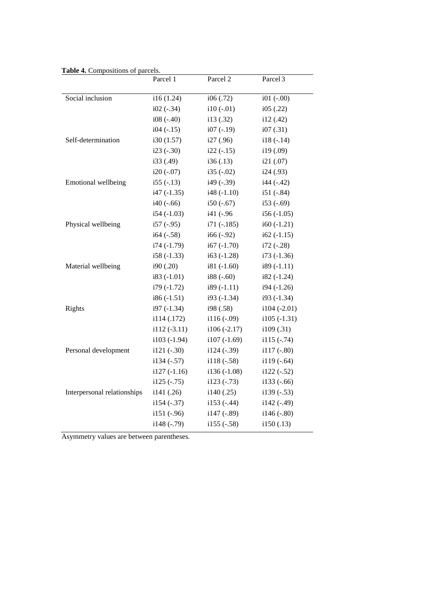| <b>L'AUR 7.</b> COMPOSITIONS OF | aiccio.<br>Parcel 1 | Parcel 2          | Parcel <sub>3</sub>  |
|---------------------------------|---------------------|-------------------|----------------------|
| Social inclusion                | i16(1.24)           | i06(.72)          | $i01$ ( $-.00$ )     |
|                                 | $i02$ ( $-.34$ )    | $i10(-.01)$       | i05(.22)             |
|                                 | $i08(-.40)$         | i13(.32)          | i12(.42)             |
|                                 | $i04$ ( $-15$ )     | $i07$ ( $-19$ )   | i07(.31)             |
| Self-determination              | i30(1.57)           | i27 (.96)         | $i18(-.14)$          |
|                                 | $i23(-.30)$         | $i22(-.15)$       | i19 <sub>(.09)</sub> |
|                                 | i33 (.49)           | i36(.13)          | i21(.07)             |
|                                 | $i20(-.07)$         | $i35(-.02)$       | i24(.93)             |
| Emotional wellbeing             | $i55(-.13)$         | $i49$ ( $-39$ )   | $i44$ (-.42)         |
|                                 | $i47$ ( $-1.35$ )   | $i48(-1.10)$      | $i51$ ( $-84$ )      |
|                                 | $i40$ ( $-66$ )     | $i50(-.67)$       | $i53(-.69)$          |
|                                 | $i54$ ( $-1.03$ )   | i41 (-.96         | $i56(-1.05)$         |
| Physical wellbeing              | $i57$ (-.95)        | $i71$ (-.185)     | $i60(-1.21)$         |
|                                 | $i64$ ( $-0.58$ )   | $i66 (-.92)$      | $i62 (-1.15)$        |
|                                 | $i74$ (-1.79)       | $i67$ (-1.70)     | $i72$ ( $-28$ )      |
|                                 | $i58(-1.33)$        | $i63$ (-1.28)     | $i73(-1.36)$         |
| Material wellbeing              | i90(.20)            | $i81(-1.60)$      | $i89(-1.11)$         |
|                                 | $i83(-1.01)$        | $i88 (-.60)$      | $i82(-1.24)$         |
|                                 | $i79(-1.72)$        | $i89(-1.11)$      | $i94 (-1.26)$        |
|                                 | $i86(-1.51)$        | i93 (-1.34)       | $i93(-1.34)$         |
| Rights                          | $i97(-1.34)$        | i98 (.58)         | $i104$ (-2.01)       |
|                                 | i114 (.172)         | $i116(-.09)$      | $i105(-1.31)$        |
|                                 | $i112(-3.11)$       | $i106(-2.17)$     | i109 (.31)           |
|                                 | $i103(-1.94)$       | $i107(-1.69)$     | $i115(-.74)$         |
| Personal development            | $i121 (-.30)$       | $i124$ (-.39)     | $i117(-.80)$         |
|                                 | $i134 (-.57)$       | $i118(-.58)$      | $i119(-.64)$         |
|                                 | $i127(-1.16)$       | $i136(-1.08)$     | $i122$ ( $-52$ )     |
|                                 | $i125(-.75)$        | $i123$ ( $-73$ )  | $i133(-.66)$         |
| Interpersonal relationships     | i141(.26)           | i140(.25)         | $i139(-.53)$         |
|                                 | $i154$ ( $-37$ )    | $i153$ (-.44)     | $i142$ (-.49)        |
|                                 | $i151 (-.96)$       | i147 (-.89)       | i146 (-.80)          |
|                                 | i148 (-.79)         | $i155$ ( $-.58$ ) | i150(.13)            |
|                                 |                     |                   |                      |

**Table 4.** Compositions of parcels.

Asymmetry values are between parentheses.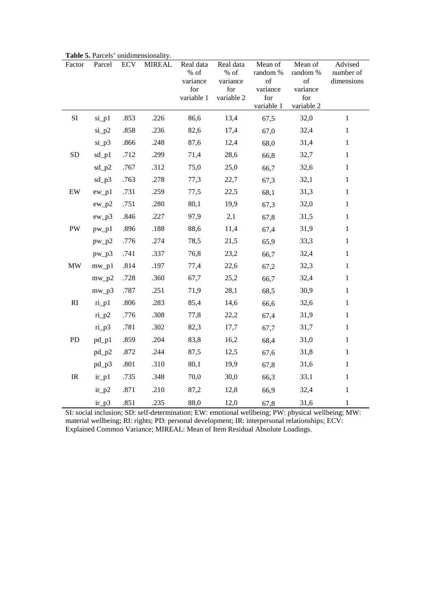| Factor                            | Parcel      | <b>ECV</b> | <b>MIREAL</b> | Real data<br>% of<br>variance<br>for<br>variable 1 | Real data<br>$%$ of<br>variance<br>for<br>variable 2 | Mean of<br>random %<br>of<br>variance<br>for<br>variable 1 | Mean of<br>random %<br>of<br>variance<br>for<br>variable 2 | Advised<br>number of<br>dimensions |
|-----------------------------------|-------------|------------|---------------|----------------------------------------------------|------------------------------------------------------|------------------------------------------------------------|------------------------------------------------------------|------------------------------------|
| SI                                | $si_p1$     | .853       | .226          | 86,6                                               | 13,4                                                 | 67,5                                                       | 32,0                                                       | $\,1$                              |
|                                   | $si_p2$     | .858       | .236          | 82,6                                               | 17,4                                                 | 67,0                                                       | 32,4                                                       | $\mathbf{1}$                       |
|                                   | $si_p3$     | .866       | .248          | 87,6                                               | 12,4                                                 | 68,0                                                       | 31,4                                                       | $\,1$                              |
| <b>SD</b>                         | $sd$ _p $1$ | .712       | .299          | 71,4                                               | 28,6                                                 | 66,8                                                       | 32,7                                                       | $\,1$                              |
|                                   | $sd_p2$     | .767       | .312          | 75,0                                               | 25,0                                                 | 66,7                                                       | 32,6                                                       | $\,1$                              |
|                                   | $sd$ _p3    | .763       | .278          | 77,3                                               | 22,7                                                 | 67,3                                                       | 32,1                                                       | $\,1$                              |
| $\mathbf{EW}$                     | $ew_p1$     | .731       | .259          | 77,5                                               | 22,5                                                 | 68,1                                                       | 31,3                                                       | $\mathbf{1}$                       |
|                                   | $ew_p2$     | .751       | .280          | 80,1                                               | 19,9                                                 | 67,3                                                       | 32,0                                                       | $\mathbf{1}$                       |
|                                   | $ew_p3$     | .846       | .227          | 97,9                                               | 2,1                                                  | 67,8                                                       | 31,5                                                       | $\mathbf{1}$                       |
| PW                                | $pw_p1$     | .896       | .188          | 88,6                                               | 11,4                                                 | 67,4                                                       | 31,9                                                       | $\mathbf{1}$                       |
|                                   | $pw_p2$     | .776       | .274          | 78,5                                               | 21,5                                                 | 65,9                                                       | 33,3                                                       | $\,1$                              |
|                                   | $pw_p3$     | .741       | .337          | 76,8                                               | 23,2                                                 | 66,7                                                       | 32,4                                                       | $\mathbf{1}$                       |
| $\text{MW}{}$                     | $mw_p1$     | .814       | .197          | 77,4                                               | 22,6                                                 | 67,2                                                       | 32,3                                                       | $\,1$                              |
|                                   | $mw_p2$     | .728       | .360          | 67,7                                               | 25,2                                                 | 66,7                                                       | 32,4                                                       | $\,1$                              |
|                                   | $mw_p3$     | .787       | .251          | 71,9                                               | 28,1                                                 | 68,5                                                       | 30,9                                                       | $\,1$                              |
| $\mathbf{R}\mathbf{I}$            | $ri$ $pl$   | .806       | .283          | 85,4                                               | 14,6                                                 | 66,6                                                       | 32,6                                                       | $\,1$                              |
|                                   | $ri_p2$     | .776       | .308          | 77,8                                               | 22,2                                                 | 67,4                                                       | 31,9                                                       | $\mathbf{1}$                       |
|                                   | $ri_p3$     | .781       | .302          | 82,3                                               | 17,7                                                 | 67,7                                                       | 31,7                                                       | $\mathbf{1}$                       |
| PD                                | $pd_p1$     | .859       | .204          | 83,8                                               | 16,2                                                 | 68,4                                                       | 31,0                                                       | $\mathbf{1}$                       |
|                                   | $pd_p2$     | .872       | .244          | 87,5                                               | 12,5                                                 | 67,6                                                       | 31,8                                                       | $\mathbf{1}$                       |
|                                   | $pd_p3$     | .801       | .310          | 80,1                                               | 19,9                                                 | 67,8                                                       | 31,6                                                       | $\mathbf{1}$                       |
| $\ensuremath{\mathsf{IR}}\xspace$ | $ir_p1$     | .735       | .348          | 70,0                                               | 30,0                                                 | 66,3                                                       | 33,1                                                       | $\mathbf{1}$                       |
|                                   | $ir_p2$     | .871       | .210          | 87,2                                               | 12,8                                                 | 66,9                                                       | 32,4                                                       | $\,1$                              |
|                                   | $ir_p3$     | .851       | .235          | 88,0                                               | 12,0                                                 | 67,8                                                       | 31,6                                                       | $\mathbf{1}$                       |

**Table 5.** Parcels' unidimensionality.

SI: social inclusion; SD: self-determination; EW: emotional wellbeing; PW: physical wellbeing; MW: material wellbeing; RI: rights; PD: personal development; IR: interpersonal relationships; ECV: Explained Common Variance; MIREAL: Mean of Item Residual Absolute Loadings.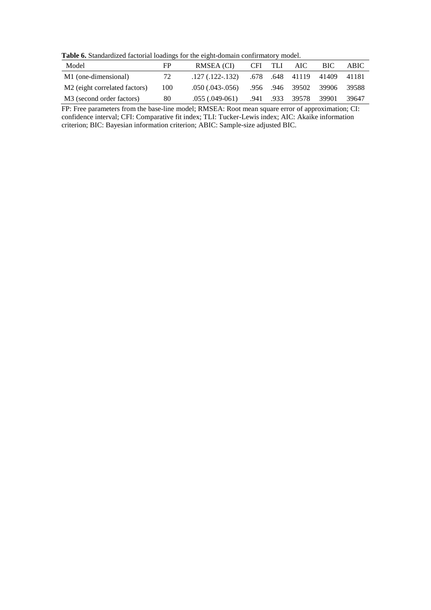**Table 6.** Standardized factorial loadings for the eight-domain confirmatory model.

| Model                                     | FP  | RMSEA (CI)               | CFI. | - TLI | AIC-                  | BIC -                       | ABIC  |
|-------------------------------------------|-----|--------------------------|------|-------|-----------------------|-----------------------------|-------|
| M1 (one-dimensional)                      | 72  | $.127$ $(.122-.132)$     |      |       |                       | .678 .648 41119 41409 41181 |       |
| M <sub>2</sub> (eight correlated factors) | 100 | $.050$ $(.043$ - $.056)$ |      |       | .956 .946 39502       | 39906 39588                 |       |
| M <sub>3</sub> (second order factors)     | 80  | $.055$ $(.049-061)$      |      |       | .941 .933 39578 39901 |                             | 39647 |

FP: Free parameters from the base-line model; RMSEA: Root mean square error of approximation; CI: confidence interval; CFI: Comparative fit index; TLI: Tucker-Lewis index; AIC: Akaike information criterion; BIC: Bayesian information criterion; ABIC: Sample-size adjusted BIC.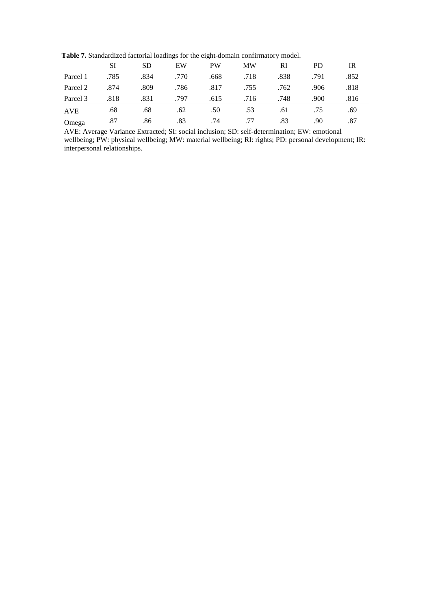**Table 7.** Standardized factorial loadings for the eight-domain confirmatory model.

|            | SI   | SD   | EW   | <b>PW</b> | <b>MW</b> | RI   | <b>PD</b> | IR   |
|------------|------|------|------|-----------|-----------|------|-----------|------|
| Parcel 1   | .785 | .834 | .770 | .668      | .718      | .838 | .791      | .852 |
| Parcel 2   | .874 | .809 | .786 | .817      | .755      | .762 | .906      | .818 |
| Parcel 3   | .818 | .831 | .797 | .615      | .716      | .748 | .900      | .816 |
| <b>AVE</b> | .68  | .68  | .62  | .50       | .53       | .61  | .75       | .69  |
| Omega      | .87  | .86  | .83  | .74       | .77       | .83  | .90       | .87  |

AVE: Average Variance Extracted; SI: social inclusion; SD: self-determination; EW: emotional wellbeing; PW: physical wellbeing; MW: material wellbeing; RI: rights; PD: personal development; IR: interpersonal relationships.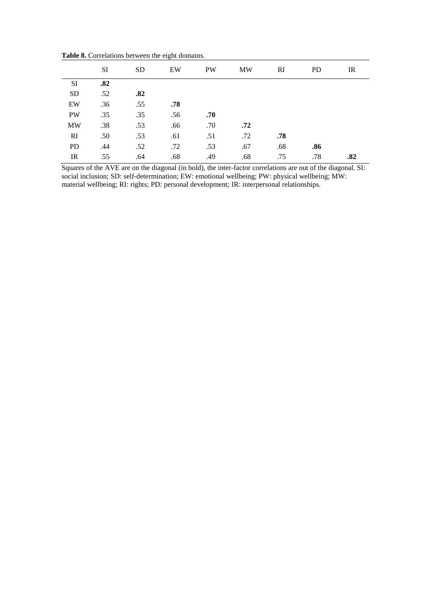|            | SI  | <b>SD</b> | EW  | <b>PW</b> | MW  | <b>RI</b> | <b>PD</b> | IR  |
|------------|-----|-----------|-----|-----------|-----|-----------|-----------|-----|
| SI         | .82 |           |     |           |     |           |           |     |
| ${\rm SD}$ | .52 | .82       |     |           |     |           |           |     |
| EW         | .36 | .55       | .78 |           |     |           |           |     |
| <b>PW</b>  | .35 | .35       | .56 | .70       |     |           |           |     |
| <b>MW</b>  | .38 | .53       | .66 | .70       | .72 |           |           |     |
| RI         | .50 | .53       | .61 | .51       | .72 | .78       |           |     |
| <b>PD</b>  | .44 | .52       | .72 | .53       | .67 | .68       | .86       |     |
| IR         | .55 | .64       | .68 | .49       | .68 | .75       | .78       | .82 |

**Table 8.** Correlations between the eight domains.

Squares of the AVE are on the diagonal (in bold), the inter-factor correlations are out of the diagonal. SI: social inclusion; SD: self-determination; EW: emotional wellbeing; PW: physical wellbeing; MW: material wellbeing; RI: rights; PD: personal development; IR: interpersonal relationships.